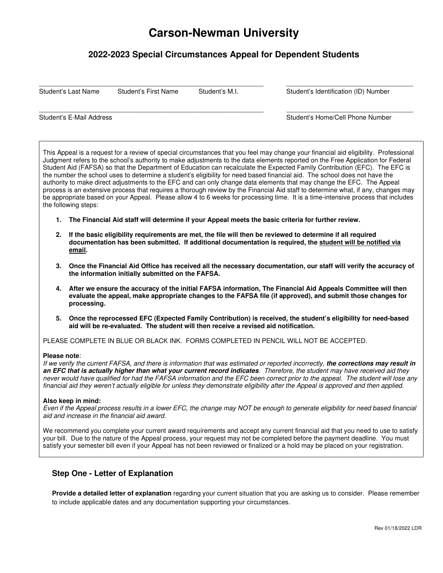# **Carson-Newman University**

## **2022-2023 Special Circumstances Appeal for Dependent Students**

 $\_$  ,  $\_$  ,  $\_$  ,  $\_$  ,  $\_$  ,  $\_$  ,  $\_$  ,  $\_$  ,  $\_$  ,  $\_$  ,  $\_$  ,  $\_$  ,  $\_$  ,  $\_$  ,  $\_$  ,  $\_$  ,  $\_$  ,  $\_$  ,  $\_$  ,  $\_$  ,  $\_$  ,  $\_$  ,  $\_$  ,  $\_$  ,  $\_$  ,  $\_$  ,  $\_$  ,  $\_$  ,  $\_$  ,  $\_$  ,  $\_$  ,  $\_$  ,  $\_$  ,  $\_$  ,  $\_$  ,  $\_$  ,  $\_$  ,

 $\_$  ,  $\_$  ,  $\_$  ,  $\_$  ,  $\_$  ,  $\_$  ,  $\_$  ,  $\_$  ,  $\_$  ,  $\_$  ,  $\_$  ,  $\_$  ,  $\_$  ,  $\_$  ,  $\_$  ,  $\_$  ,  $\_$  ,  $\_$  ,  $\_$  ,  $\_$  ,  $\_$  ,  $\_$  ,  $\_$  ,  $\_$  ,  $\_$  ,  $\_$  ,  $\_$  ,  $\_$  ,  $\_$  ,  $\_$  ,  $\_$  ,  $\_$  ,  $\_$  ,  $\_$  ,  $\_$  ,  $\_$  ,  $\_$  ,

Student's Last Name Student's First Name Student's M.I. Student's Identification (ID) Number

Student's E-Mail Address **Student's E-Mail Address** Student's Home/Cell Phone Number

This Appeal is a request for a review of special circumstances that you feel may change your financial aid eligibility. Professional Judgment refers to the school's authority to make adjustments to the data elements reported on the Free Application for Federal Student Aid (FAFSA) so that the Department of Education can recalculate the Expected Family Contribution (EFC). The EFC is the number the school uses to determine a student's eligibility for need based financial aid. The school does not have the authority to make direct adjustments to the EFC and can only change data elements that may change the EFC. The Appeal process is an extensive process that requires a thorough review by the Financial Aid staff to determine what, if any, changes may be appropriate based on your Appeal. Please allow 4 to 6 weeks for processing time. It is a time-intensive process that includes the following steps:

- **1. The Financial Aid staff will determine if your Appeal meets the basic criteria for further review.**
- **2. If the basic eligibility requirements are met, the file will then be reviewed to determine if all required documentation has been submitted. If additional documentation is required, the student will be notified via email.**
- **3. Once the Financial Aid Office has received all the necessary documentation, our staff will verify the accuracy of the information initially submitted on the FAFSA.**
- **4. After we ensure the accuracy of the initial FAFSA information, The Financial Aid Appeals Committee will then evaluate the appeal, make appropriate changes to the FAFSA file (if approved), and submit those changes for processing.**
- **5. Once the reprocessed EFC (Expected Family Contribution) is received, the student's eligibility for need-based aid will be re-evaluated. The student will then receive a revised aid notification.**

PLEASE COMPLETE IN BLUE OR BLACK INK. FORMS COMPLETED IN PENCIL WILL NOT BE ACCEPTED.

#### **Please note**:

If we verify the current FAFSA, and there is information that was estimated or reported incorrectly, **the corrections may result in an EFC that is actually higher than what your current record indicates**. Therefore, the student may have received aid they never would have qualified for had the FAFSA information and the EFC been correct prior to the appeal. The student will lose any financial aid they weren't actually eligible for unless they demonstrate eligibility after the Appeal is approved and then applied.

#### **Also keep in mind:**

Even if the Appeal process results in a lower EFC, the change may NOT be enough to generate eligibility for need based financial aid and increase in the financial aid award.

We recommend you complete your current award requirements and accept any current financial aid that you need to use to satisfy your bill. Due to the nature of the Appeal process, your request may not be completed before the payment deadline. You must satisfy your semester bill even if your Appeal has not been reviewed or finalized or a hold may be placed on your registration.

#### **Step One - Letter of Explanation**

**Provide a detailed letter of explanation** regarding your current situation that you are asking us to consider. Please remember to include applicable dates and any documentation supporting your circumstances.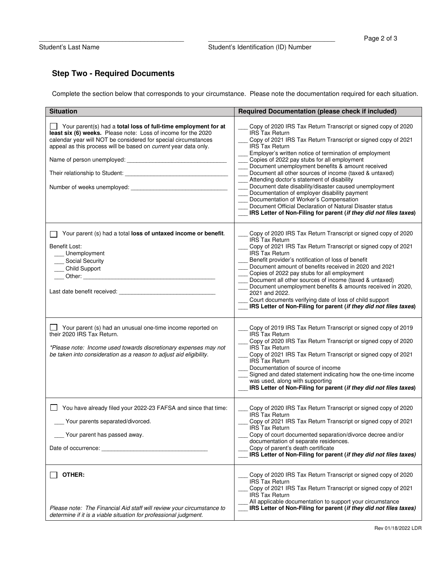## **Step Two - Required Documents**

Complete the section below that corresponds to your circumstance. Please note the documentation required for each situation.

| <b>Situation</b>                                                                                                                                                                                                                                                                                                                                                      | Required Documentation (please check if included)                                                                                                                                                                                                                                                                                                                                                                                                                                                                                                                                                                                                                                                                                         |
|-----------------------------------------------------------------------------------------------------------------------------------------------------------------------------------------------------------------------------------------------------------------------------------------------------------------------------------------------------------------------|-------------------------------------------------------------------------------------------------------------------------------------------------------------------------------------------------------------------------------------------------------------------------------------------------------------------------------------------------------------------------------------------------------------------------------------------------------------------------------------------------------------------------------------------------------------------------------------------------------------------------------------------------------------------------------------------------------------------------------------------|
| Your parent(s) had a total loss of full-time employment for at<br>least six (6) weeks. Please note: Loss of income for the 2020<br>calendar year will NOT be considered for special circumstances<br>appeal as this process will be based on current year data only.<br>Name of person unemployed: _<br>Number of weeks unemployed:<br>Number of weeks unemployed:    | Copy of 2020 IRS Tax Return Transcript or signed copy of 2020<br><b>IRS Tax Return</b><br>Copy of 2021 IRS Tax Return Transcript or signed copy of 2021<br><b>IRS Tax Return</b><br>Employer's written notice of termination of employment<br>Copies of 2022 pay stubs for all employment<br>Document unemployment benefits & amount received<br>Document all other sources of income (taxed & untaxed)<br>Attending doctor's statement of disability<br>Document date disability/disaster caused unemployment<br>Documentation of employer disability payment<br>Documentation of Worker's Compensation<br>Document Official Declaration of Natural Disaster status<br>IRS Letter of Non-Filing for parent (if they did not files taxes) |
| Your parent (s) had a total loss of untaxed income or benefit.<br>Benefit Lost:<br>Unemployment<br>Social Security<br>Child Support<br>Other: the contract of the contract of the contract of the contract of the contract of the contract of the contract of the contract of the contract of the contract of the contract of the contract of the contract of the con | Copy of 2020 IRS Tax Return Transcript or signed copy of 2020<br><b>IRS Tax Return</b><br>Copy of 2021 IRS Tax Return Transcript or signed copy of 2021<br><b>IRS Tax Return</b><br>Benefit provider's notification of loss of benefit<br>Document amount of benefits received in 2020 and 2021<br>Copies of 2022 pay stubs for all employment<br>Document all other sources of income (taxed & untaxed)<br>Document unemployment benefits & amounts received in 2020,<br>2021 and 2022.<br>Court documents verifying date of loss of child support<br>IRS Letter of Non-Filing for parent (if they did not files taxes)                                                                                                                  |
| Your parent (s) had an unusual one-time income reported on<br>their 2020 IRS Tax Return.<br>*Please note: Income used towards discretionary expenses may not<br>be taken into consideration as a reason to adjust aid eligibility.                                                                                                                                    | Copy of 2019 IRS Tax Return Transcript or signed copy of 2019<br><b>IRS Tax Return</b><br>Copy of 2020 IRS Tax Return Transcript or signed copy of 2020<br><b>IRS Tax Return</b><br>Copy of 2021 IRS Tax Return Transcript or signed copy of 2021<br><b>IRS Tax Return</b><br>Documentation of source of income<br>Signed and dated statement indicating how the one-time income<br>was used, along with supporting<br>IRS Letter of Non-Filing for parent (if they did not files taxes)                                                                                                                                                                                                                                                  |
| □ You have already filed your 2022-23 FAFSA and since that time:<br>Your parents separated/divorced.<br>Your parent has passed away.<br>Date of occurrence:                                                                                                                                                                                                           | Copy of 2020 IRS Tax Return Transcript or signed copy of 2020<br><b>IRS Tax Return</b><br>Copy of 2021 IRS Tax Return Transcript or signed copy of 2021<br><b>IRS Tax Return</b><br>Copy of court documented separation/divorce decree and/or<br>documentation of separate residences.<br>Copy of parent's death certificate<br>IRS Letter of Non-Filing for parent (if they did not files taxes)                                                                                                                                                                                                                                                                                                                                         |
| OTHER:<br>Please note: The Financial Aid staff will review your circumstance to<br>determine if it is a viable situation for professional judgment.                                                                                                                                                                                                                   | Copy of 2020 IRS Tax Return Transcript or signed copy of 2020<br><b>IRS Tax Return</b><br>Copy of 2021 IRS Tax Return Transcript or signed copy of 2021<br><b>IRS Tax Return</b><br>All applicable documentation to support your circumstance<br>IRS Letter of Non-Filing for parent (if they did not files taxes)                                                                                                                                                                                                                                                                                                                                                                                                                        |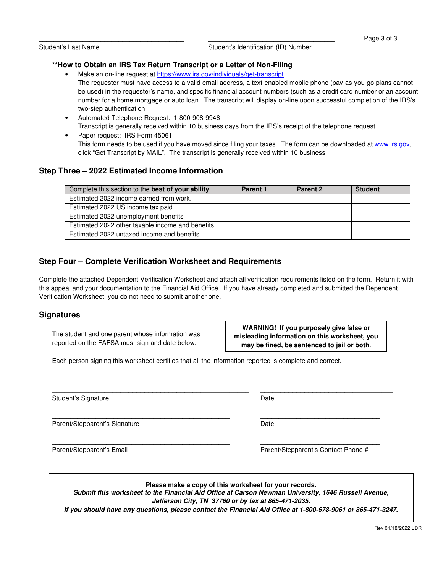Student's Last Name **Student's Identification** (ID) Number

#### **\*\*How to Obtain an IRS Tax Return Transcript or a Letter of Non-Filing**

- Make an on-line request at https://www.irs.gov/individuals/get-transcript The requester must have access to a valid email address, a text-enabled mobile phone (pay-as-you-go plans cannot be used) in the requester's name, and specific financial account numbers (such as a credit card number or an account number for a home mortgage or auto loan. The transcript will display on-line upon successful completion of the IRS's two-step authentication.
- Automated Telephone Request: 1-800-908-9946 Transcript is generally received within 10 business days from the IRS's receipt of the telephone request.
- Paper request: IRS Form 4506T This form needs to be used if you have moved since filing your taxes. The form can be downloaded at www.irs.gov, click "Get Transcript by MAIL". The transcript is generally received within 10 business

### **Step Three – 2022 Estimated Income Information**

| Complete this section to the best of your ability | <b>Parent 1</b> | Parent 2 | <b>Student</b> |
|---------------------------------------------------|-----------------|----------|----------------|
| Estimated 2022 income earned from work.           |                 |          |                |
| Estimated 2022 US income tax paid                 |                 |          |                |
| Estimated 2022 unemployment benefits              |                 |          |                |
| Estimated 2022 other taxable income and benefits  |                 |          |                |
| Estimated 2022 untaxed income and benefits        |                 |          |                |

## **Step Four – Complete Verification Worksheet and Requirements**

Complete the attached Dependent Verification Worksheet and attach all verification requirements listed on the form. Return it with this appeal and your documentation to the Financial Aid Office. If you have already completed and submitted the Dependent Verification Worksheet, you do not need to submit another one.

#### **Signatures**

The student and one parent whose information was reported on the FAFSA must sign and date below.

**WARNING! If you purposely give false or misleading information on this worksheet, you may be fined, be sentenced to jail or both**.

Each person signing this worksheet certifies that all the information reported is complete and correct.

Student's Signature Date Date Controller and Date Date Date

Parent/Stepparent's Signature Date Date

\_\_\_\_\_\_\_\_\_\_\_\_\_\_\_\_\_\_\_\_\_\_\_\_\_\_\_\_\_\_\_\_\_\_\_\_\_\_\_\_\_\_\_\_\_\_\_\_\_ \_\_\_\_\_\_\_\_\_\_\_\_\_\_\_\_\_\_\_\_\_\_\_\_\_\_\_\_\_\_\_\_\_

Parent/Stepparent's Email Parent/Stepparent's Contact Phone #

**Please make a copy of this worksheet for your records.** 

**Submit this worksheet to the Financial Aid Office at Carson Newman University, 1646 Russell Avenue, Jefferson City, TN 37760 or by fax at 865-471-2035.** 

\_\_\_\_\_\_\_\_\_\_\_\_\_\_\_\_\_\_\_\_\_\_\_\_\_\_\_\_\_\_\_\_\_\_\_\_\_\_\_\_\_\_\_\_\_\_\_\_\_ \_\_\_\_\_\_\_\_\_\_\_\_\_\_\_\_\_\_\_\_\_\_\_\_\_\_\_\_\_\_\_\_\_

 $\_$  , and the state of the state of the state of the state of the state of the state of the state of the state of the state of the state of the state of the state of the state of the state of the state of the state of the

**If you should have any questions, please contact the Financial Aid Office at 1-800-678-9061 or 865-471-3247.**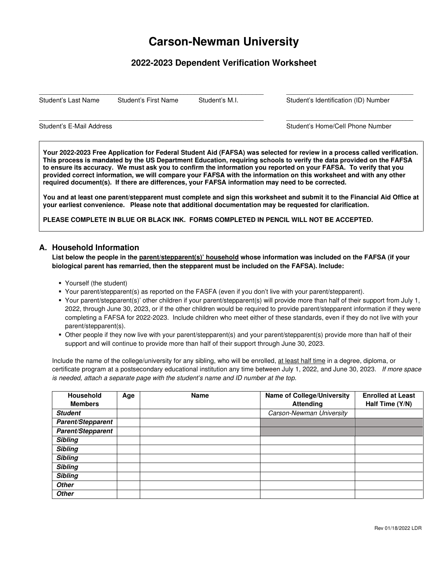# **Carson-Newman University**

## **2022-2023 Dependent Verification Worksheet**

 $\_$  ,  $\_$  ,  $\_$  ,  $\_$  ,  $\_$  ,  $\_$  ,  $\_$  ,  $\_$  ,  $\_$  ,  $\_$  ,  $\_$  ,  $\_$  ,  $\_$  ,  $\_$  ,  $\_$  ,  $\_$  ,  $\_$  ,  $\_$  ,  $\_$  ,  $\_$  ,  $\_$  ,  $\_$  ,  $\_$  ,  $\_$  ,  $\_$  ,  $\_$  ,  $\_$  ,  $\_$  ,  $\_$  ,  $\_$  ,  $\_$  ,  $\_$  ,  $\_$  ,  $\_$  ,  $\_$  ,  $\_$  ,  $\_$  ,

 $\_$  ,  $\_$  ,  $\_$  ,  $\_$  ,  $\_$  ,  $\_$  ,  $\_$  ,  $\_$  ,  $\_$  ,  $\_$  ,  $\_$  ,  $\_$  ,  $\_$  ,  $\_$  ,  $\_$  ,  $\_$  ,  $\_$  ,  $\_$  ,  $\_$  ,  $\_$  ,  $\_$  ,  $\_$  ,  $\_$  ,  $\_$  ,  $\_$  ,  $\_$  ,  $\_$  ,  $\_$  ,  $\_$  ,  $\_$  ,  $\_$  ,  $\_$  ,  $\_$  ,  $\_$  ,  $\_$  ,  $\_$  ,  $\_$  ,

Student's Last Name Student's First Name Student's M.I. Student's Identification (ID) Number

Student's E-Mail Address **Student's E-Mail Address** Student's Home/Cell Phone Number

**Your 2022-2023 Free Application for Federal Student Aid (FAFSA) was selected for review in a process called verification. This process is mandated by the US Department Education, requiring schools to verify the data provided on the FAFSA to ensure its accuracy. We must ask you to confirm the information you reported on your FAFSA. To verify that you provided correct information, we will compare your FAFSA with the information on this worksheet and with any other required document(s). If there are differences, your FAFSA information may need to be corrected.** 

**You and at least one parent/stepparent must complete and sign this worksheet and submit it to the Financial Aid Office at your earliest convenience. Please note that additional documentation may be requested for clarification.** 

**PLEASE COMPLETE IN BLUE OR BLACK INK. FORMS COMPLETED IN PENCIL WILL NOT BE ACCEPTED.** 

### **A. Household Information**

**List below the people in the parent/stepparent(s)' household whose information was included on the FAFSA (if your biological parent has remarried, then the stepparent must be included on the FAFSA). Include:** 

- Yourself (the student)
- Your parent/stepparent(s) as reported on the FASFA (even if you don't live with your parent/stepparent).
- Your parent/stepparent(s)' other children if your parent/stepparent(s) will provide more than half of their support from July 1, 2022, through June 30, 2023, or if the other children would be required to provide parent/stepparent information if they were completing a FAFSA for 2022-2023. Include children who meet either of these standards, even if they do not live with your parent/stepparent(s).
- Other people if they now live with your parent/stepparent(s) and your parent/stepparent(s) provide more than half of their support and will continue to provide more than half of their support through June 30, 2023.

Include the name of the college/university for any sibling, who will be enrolled, at least half time in a degree, diploma, or certificate program at a postsecondary educational institution any time between July 1, 2022, and June 30, 2023. If more space is needed, attach a separate page with the student's name and ID number at the top.

| <b>Household</b>  | Age | <b>Name</b> | <b>Name of College/University</b> | <b>Enrolled at Least</b> |
|-------------------|-----|-------------|-----------------------------------|--------------------------|
| <b>Members</b>    |     |             | <b>Attending</b>                  | Half Time (Y/N)          |
| <b>Student</b>    |     |             | Carson-Newman University          |                          |
| Parent/Stepparent |     |             |                                   |                          |
| Parent/Stepparent |     |             |                                   |                          |
| <b>Sibling</b>    |     |             |                                   |                          |
| <b>Sibling</b>    |     |             |                                   |                          |
| <b>Sibling</b>    |     |             |                                   |                          |
| <b>Sibling</b>    |     |             |                                   |                          |
| <b>Sibling</b>    |     |             |                                   |                          |
| <b>Other</b>      |     |             |                                   |                          |
| <b>Other</b>      |     |             |                                   |                          |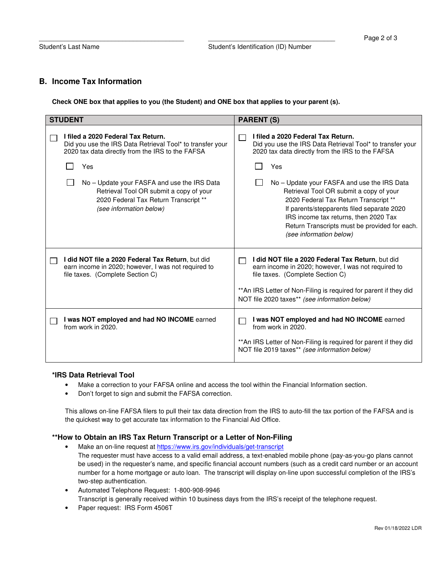#### **B. Income Tax Information**

**Check ONE box that applies to you (the Student) and ONE box that applies to your parent (s).** 

| <b>STUDENT</b>                                                                                                                                                                                                                                                                                                           | <b>PARENT (S)</b>                                                                                                                                                                                                                                                                                                                                                                                                                                                |  |  |
|--------------------------------------------------------------------------------------------------------------------------------------------------------------------------------------------------------------------------------------------------------------------------------------------------------------------------|------------------------------------------------------------------------------------------------------------------------------------------------------------------------------------------------------------------------------------------------------------------------------------------------------------------------------------------------------------------------------------------------------------------------------------------------------------------|--|--|
| I filed a 2020 Federal Tax Return.<br>Did you use the IRS Data Retrieval Tool* to transfer your<br>2020 tax data directly from the IRS to the FAFSA<br>Yes<br>No – Update your FASFA and use the IRS Data<br>Retrieval Tool OR submit a copy of your<br>2020 Federal Tax Return Transcript **<br>(see information below) | I filed a 2020 Federal Tax Return.<br>Did you use the IRS Data Retrieval Tool* to transfer your<br>2020 tax data directly from the IRS to the FAFSA<br>Yes<br>No – Update your FASFA and use the IRS Data<br>Retrieval Tool OR submit a copy of your<br>2020 Federal Tax Return Transcript **<br>If parents/stepparents filed separate 2020<br>IRS income tax returns, then 2020 Tax<br>Return Transcripts must be provided for each.<br>(see information below) |  |  |
| I did NOT file a 2020 Federal Tax Return, but did<br>earn income in 2020; however, I was not required to<br>file taxes. (Complete Section C)                                                                                                                                                                             | I did NOT file a 2020 Federal Tax Return, but did<br>earn income in 2020; however, I was not required to<br>file taxes. (Complete Section C)<br>** An IRS Letter of Non-Filing is required for parent if they did<br>NOT file 2020 taxes** (see information below)                                                                                                                                                                                               |  |  |
| I was NOT employed and had NO INCOME earned<br>from work in 2020.                                                                                                                                                                                                                                                        | I was NOT employed and had NO INCOME earned<br>from work in 2020.<br>** An IRS Letter of Non-Filing is required for parent if they did<br>NOT file 2019 taxes** (see information below)                                                                                                                                                                                                                                                                          |  |  |

#### **\*IRS Data Retrieval Tool**

- Make a correction to your FAFSA online and access the tool within the Financial Information section.
- Don't forget to sign and submit the FAFSA correction.

This allows on-line FAFSA filers to pull their tax data direction from the IRS to auto-fill the tax portion of the FAFSA and is the quickest way to get accurate tax information to the Financial Aid Office.

#### **\*\*How to Obtain an IRS Tax Return Transcript or a Letter of Non-Filing**

- Make an on-line request at https://www.irs.gov/individuals/get-transcript The requester must have access to a valid email address, a text-enabled mobile phone (pay-as-you-go plans cannot be used) in the requester's name, and specific financial account numbers (such as a credit card number or an account number for a home mortgage or auto loan. The transcript will display on-line upon successful completion of the IRS's two-step authentication.
- Automated Telephone Request: 1-800-908-9946 Transcript is generally received within 10 business days from the IRS's receipt of the telephone request.
- Paper request: IRS Form 4506T